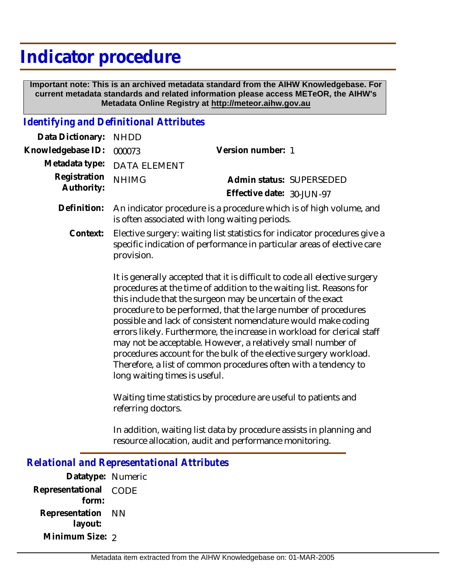# **Indicator procedure**

 **Important note: This is an archived metadata standard from the AIHW Knowledgebase. For current metadata standards and related information please access METeOR, the AIHW's Metadata Online Registry at http://meteor.aihw.gov.au**

#### *Identifying and Definitional Attributes*

| Data Dictionary: NHDD            |                                                                             |                           |                          |
|----------------------------------|-----------------------------------------------------------------------------|---------------------------|--------------------------|
| Knowledgebase ID: 000073         |                                                                             | Version number: 1         |                          |
|                                  | Metadata type: DATA ELEMENT                                                 |                           |                          |
| Registration NHIMG<br>Authority: |                                                                             |                           | Admin status: SUPERSEDED |
|                                  |                                                                             | Effective date: 30-JUN-97 |                          |
|                                  | Definition: An indicator procedure is a procedure which is of high volume a |                           |                          |

- An indicator procedure is a procedure which is of high volume, and is often associated with long waiting periods. **Definition:**
	- Elective surgery: waiting list statistics for indicator procedures give a specific indication of performance in particular areas of elective care provision. **Context:**

It is generally accepted that it is difficult to code all elective surgery procedures at the time of addition to the waiting list. Reasons for this include that the surgeon may be uncertain of the exact procedure to be performed, that the large number of procedures possible and lack of consistent nomenclature would make coding errors likely. Furthermore, the increase in workload for clerical staff may not be acceptable. However, a relatively small number of procedures account for the bulk of the elective surgery workload. Therefore, a list of common procedures often with a tendency to long waiting times is useful.

Waiting time statistics by procedure are useful to patients and referring doctors.

In addition, waiting list data by procedure assists in planning and resource allocation, audit and performance monitoring.

## *Relational and Representational Attributes*

**Datatype:** Numeric **Representational** CODE  **form: Representation** NN  **layout: Minimum Size: 2**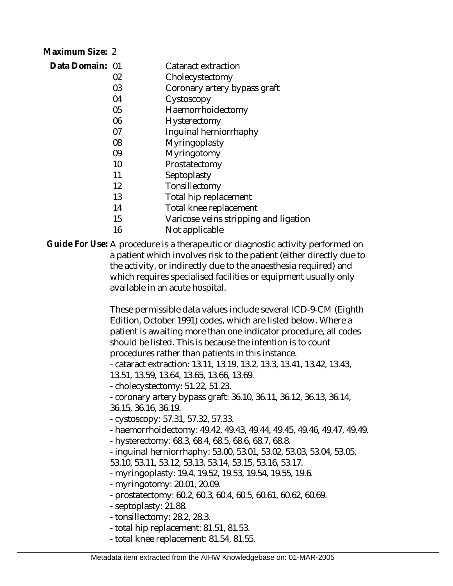| Maximum Size: 2 |    |                                       |
|-----------------|----|---------------------------------------|
| Data Domain: 01 |    | Cataract extraction                   |
|                 | 02 | Cholecystectomy                       |
|                 | 03 | Coronary artery bypass graft          |
|                 | 04 | Cystoscopy                            |
|                 | 05 | Haemorrhoidectomy                     |
|                 | 06 | Hysterectomy                          |
|                 | 07 | Inquinal herniorrhaphy                |
|                 | 08 | Myringoplasty                         |
|                 | 09 | Myringotomy                           |
|                 | 10 | Prostatectomy                         |
|                 | 11 | Septoplasty                           |
|                 | 12 | Tonsillectomy                         |
|                 | 13 | Total hip replacement                 |
|                 | 14 | Total knee replacement                |
|                 | 15 | Varicose veins stripping and ligation |
|                 | 16 | Not applicable                        |

Guide For Use: A procedure is a therapeutic or diagnostic activity performed on a patient which involves risk to the patient (either directly due to the activity, or indirectly due to the anaesthesia required) and which requires specialised facilities or equipment usually only available in an acute hospital.

> These permissible data values include several ICD-9-CM (Eighth Edition, October 1991) codes, which are listed below. Where a patient is awaiting more than one indicator procedure, all codes should be listed. This is because the intention is to count procedures rather than patients in this instance.

- cataract extraction: 13.11, 13.19, 13.2, 13.3, 13.41, 13.42, 13.43,

13.51, 13.59, 13.64, 13.65, 13.66, 13.69.

- cholecystectomy: 51.22, 51.23.

- coronary artery bypass graft: 36.10, 36.11, 36.12, 36.13, 36.14, 36.15, 36.16, 36.19.

- cystoscopy: 57.31, 57.32, 57.33.

- haemorrhoidectomy: 49.42, 49.43, 49.44, 49.45, 49.46, 49.47, 49.49.

- hysterectomy: 68.3, 68.4, 68.5, 68.6, 68.7, 68.8.

- inguinal herniorrhaphy: 53.00, 53.01, 53.02, 53.03, 53.04, 53.05,

53.10, 53.11, 53.12, 53.13, 53.14, 53.15, 53.16, 53.17.

- myringoplasty: 19.4, 19.52, 19.53, 19.54, 19.55, 19.6.

- myringotomy: 20.01, 20.09.

- prostatectomy: 60.2, 60.3, 60.4, 60.5, 60.61, 60.62, 60.69.

- septoplasty: 21.88.

- tonsillectomy: 28.2, 28.3.

- total hip replacement: 81.51, 81.53.

- total knee replacement: 81.54, 81.55.